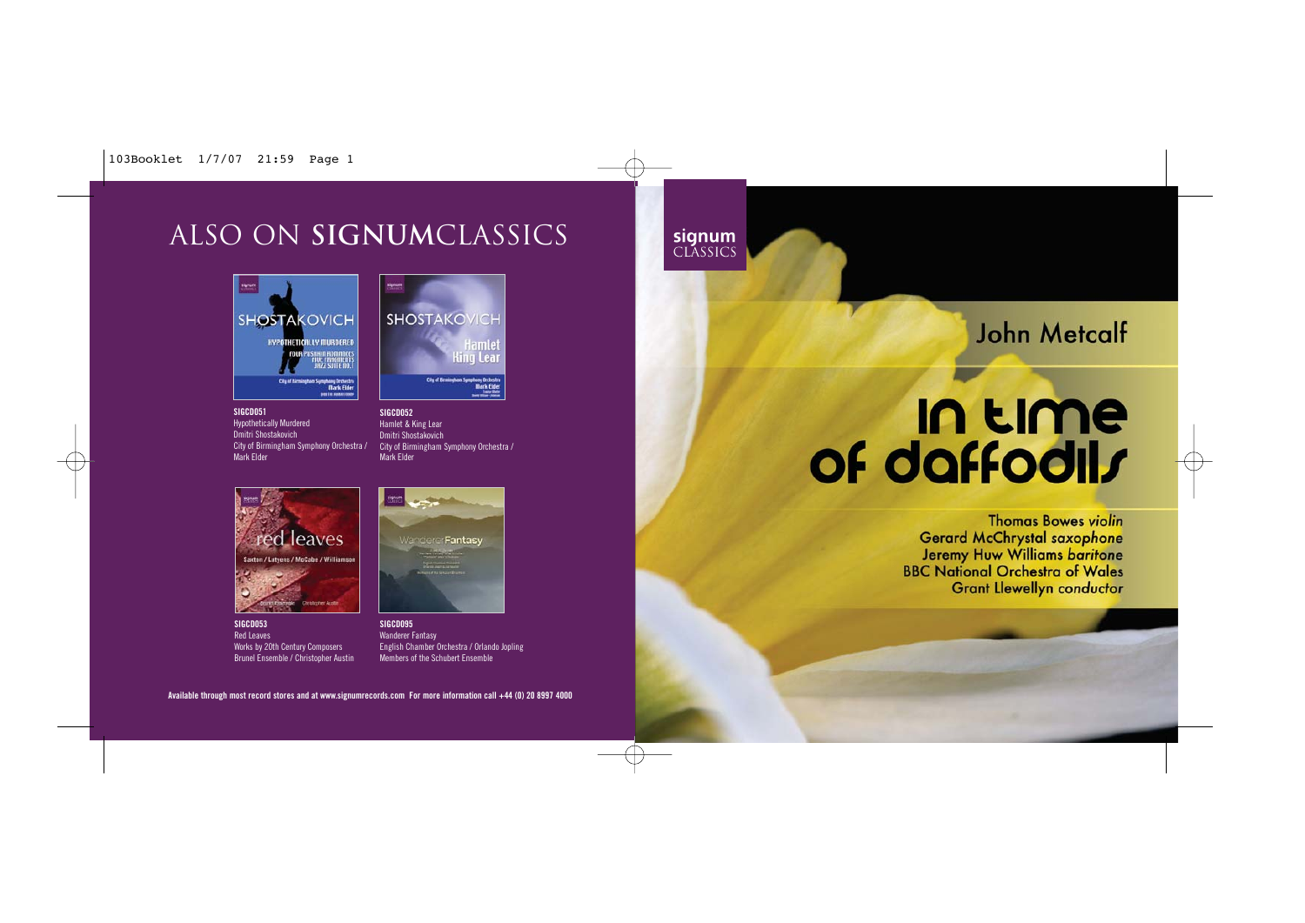Ŧ

# ALSO on **signum**classics





**SIGCD051** Hypothetically Murdered Dmitri Shostakovich City of Birmingham Symphony Orchestra / Mark Elder

**SIGCD052** Hamlet & King Lear Dmitri Shostakovich City of Birmingham Symphony Orchestra / Mark Elder

signum<br>CLASSICS



**SIGCD053** Red Leaves Works by 20th Century Composers Brunel Ensemble / Christopher Austin



**SIGCD095** Wanderer Fantasy English Chamber Orchestra / Orlando Jopling Members of the Schubert Ensemble

**Available through most record stores and at www.signumrecords.com For more information call +44 (0) 20 8997 4000**

# **John Metcalf**

# In time of daffodils

**Thomas Bowes violin Gerard McChrystal saxophone** Jeremy Huw Williams baritone **BBC National Orchestra of Wales Grant Llewellyn conductor**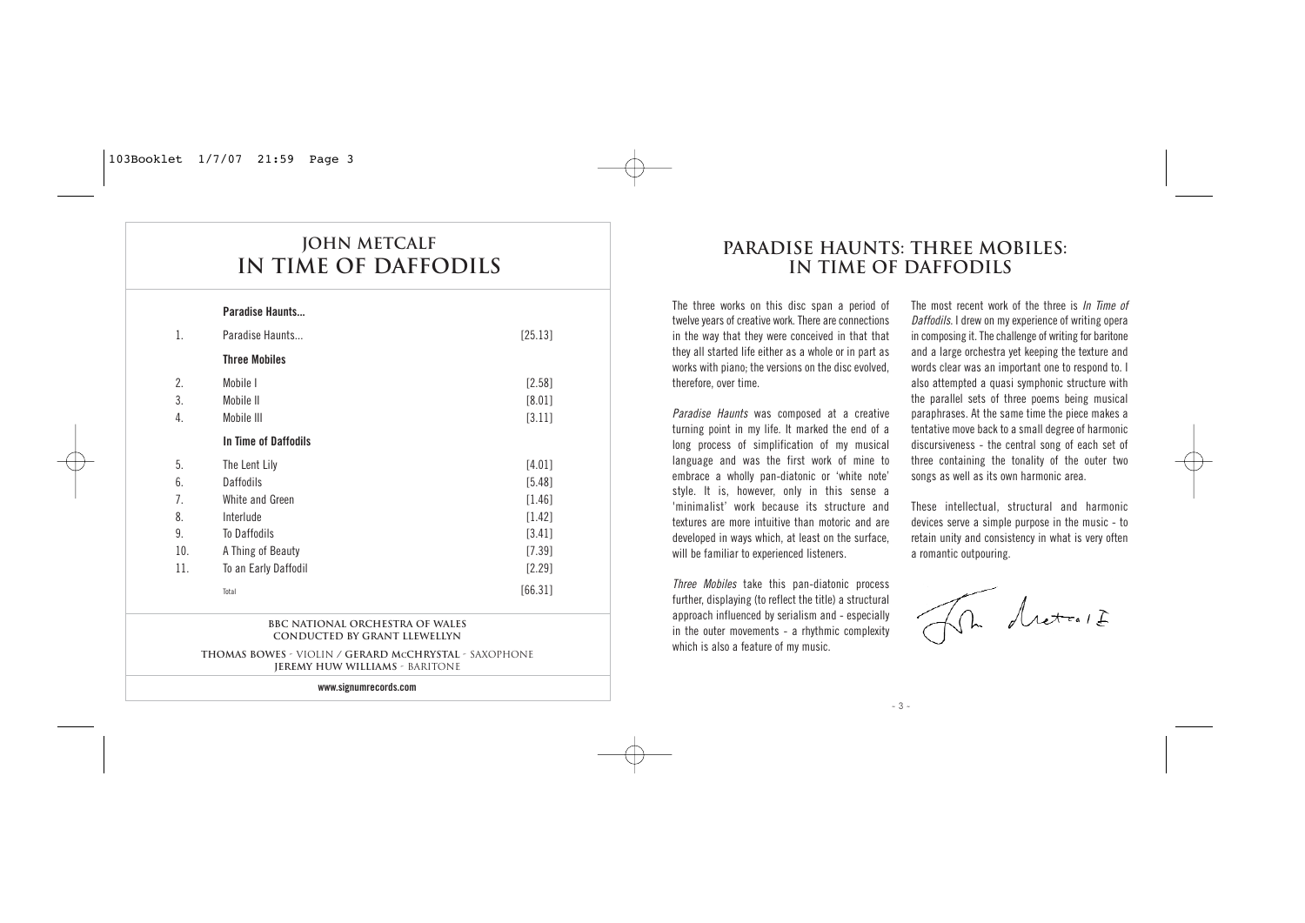# **John Metcalf In Time of Daffodils**

|                | Paradise Haunts      |          |
|----------------|----------------------|----------|
| 1.             | Paradise Haunts      | [25.13]  |
|                | <b>Three Mobiles</b> |          |
| 2.             | Mobile I             | [2.58]   |
| 3.             | Mobile II            | [8.01]   |
| 4.             | Mobile III           | $[3.11]$ |
|                | In Time of Daffodils |          |
| 5.             | The Lent Lily        | [4.01]   |
| 6.             | <b>Daffodils</b>     | [5.48]   |
| 7 <sub>1</sub> | White and Green      | [1.46]   |
| 8.             | Interlude            | [1.42]   |
| 9.             | To Daffodils         | [3.41]   |
| 10.            | A Thing of Beauty    | [7.39]   |
| 11.            | To an Early Daffodil | $[2.29]$ |
|                | Total                | [66.31]  |

#### **BBC National Orchestra of Wales Conducted by Grant Llewellyn**

**Thomas Bowes** - Violin **/ Gerard MCChrystal** - Saxophone **Jeremy Huw Williams** - Baritone

**www.signumrecords.com** 

# **PARADISE HAUNTS: THREE MOBILES: IN TIME OF DAFFODILS**

The three works on this disc span a period of twelve years of creative work. There are connections in the way that they were conceived in that that they all started life either as a whole or in part as works with piano; the versions on the disc evolved, therefore, over time.

Paradise Haunts was composed at a creative turning point in my life. It marked the end of a long process of simplification of my musical language and was the first work of mine to embrace a wholly pan-diatonic or 'white note' style. It is, however, only in this sense a 'minimalist' work because its structure and textures are more intuitive than motoric and are developed in ways which, at least on the surface, will be familiar to experienced listeners.

Three Mobiles take this pan-diatonic process further, displaying (to reflect the title) a structural approach influenced by serialism and - especially in the outer movements - a rhythmic complexity which is also a feature of my music.

The most recent work of the three is In Time of Daffodils. I drew on my experience of writing opera in composing it. The challenge of writing for baritone and a large orchestra yet keeping the texture and words clear was an important one to respond to. I also attempted a quasi symphonic structure with the parallel sets of three poems being musical paraphrases. At the same time the piece makes a tentative move back to a small degree of harmonic discursiveness - the central song of each set of three containing the tonality of the outer two songs as well as its own harmonic area.

These intellectual, structural and harmonic devices serve a simple purpose in the music - to retain unity and consistency in what is very often a romantic outpouring.

Letter 1 I

- 3 -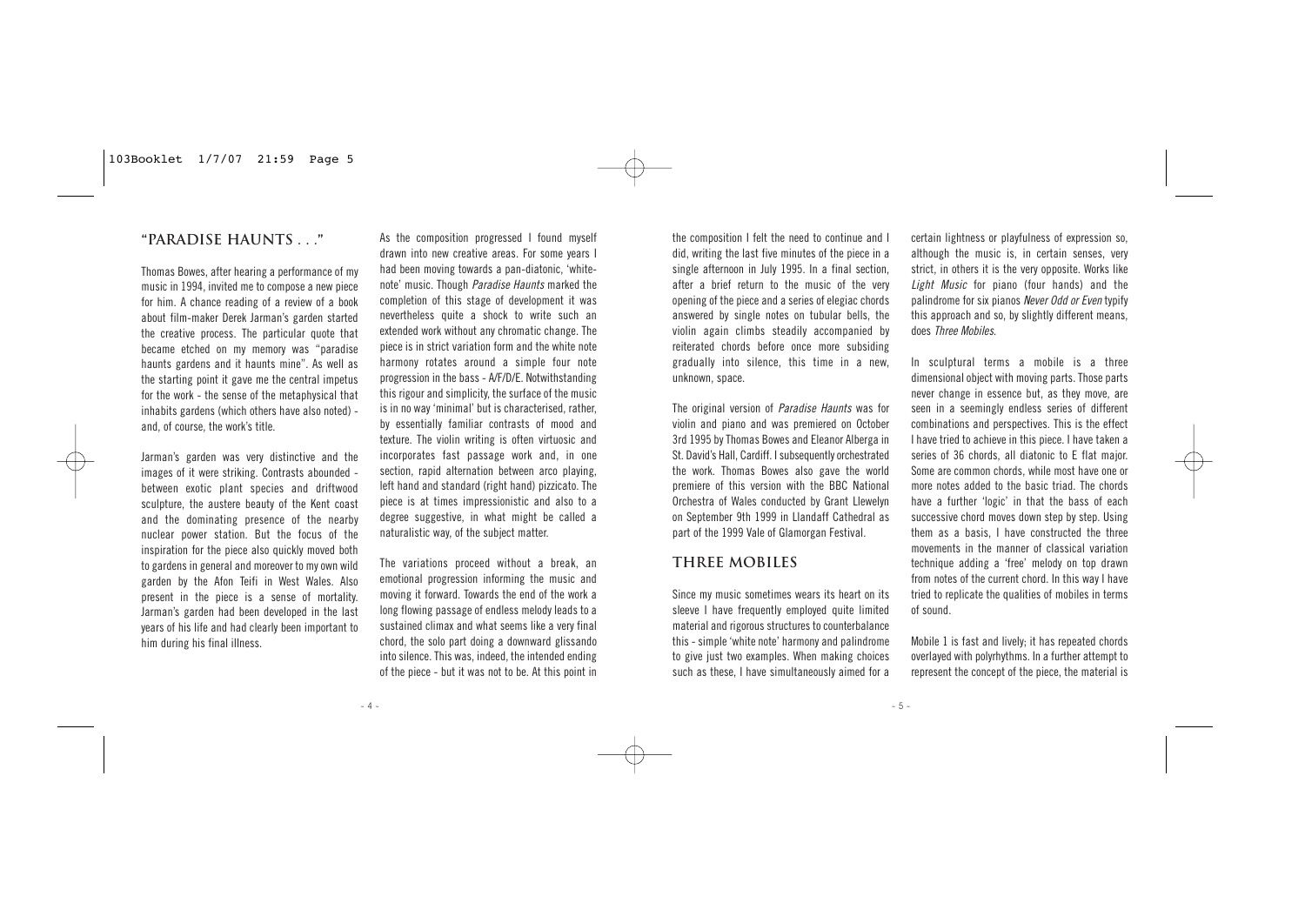# **"PARADISE HAUNTS . . ."**

Thomas Bowes, after hearing a performance of my music in 1994, invited me to compose a new piece for him. A chance reading of a review of a book about film-maker Derek Jarman's garden started the creative process. The particular quote that became etched on my memory was "paradise haunts gardens and it haunts mine". As well as the starting point it gave me the central impetus for the work - the sense of the metaphysical that inhabits gardens (which others have also noted) and, of course, the work's title.

Jarman's garden was very distinctive and the images of it were striking. Contrasts abounded between exotic plant species and driftwood sculpture, the austere beauty of the Kent coast and the dominating presence of the nearby nuclear power station. But the focus of the inspiration for the piece also quickly moved both to gardens in general and moreover to my own wild garden by the Afon Teifi in West Wales. Also present in the piece is a sense of mortality. Jarman's garden had been developed in the last years of his life and had clearly been important to him during his final illness.

As the composition progressed I found myself drawn into new creative areas. For some years I had been moving towards a pan-diatonic, 'whitenote' music. Though Paradise Haunts marked the completion of this stage of development it was nevertheless quite a shock to write such an extended work without any chromatic change. The piece is in strict variation form and the white note harmony rotates around a simple four note progression in the bass - A/F/D/E. Notwithstanding this rigour and simplicity, the surface of the music is in no way 'minimal' but is characterised, rather, by essentially familiar contrasts of mood and texture. The violin writing is often virtuosic and incorporates fast passage work and, in one section, rapid alternation between arco playing, left hand and standard (right hand) pizzicato. The piece is at times impressionistic and also to a degree suggestive, in what might be called a naturalistic way, of the subject matter.

The variations proceed without a break, an emotional progression informing the music and moving it forward. Towards the end of the work a long flowing passage of endless melody leads to a sustained climax and what seems like a very final chord, the solo part doing a downward glissando into silence. This was, indeed, the intended ending of the piece - but it was not to be. At this point in

the composition I felt the need to continue and I did, writing the last five minutes of the piece in a single afternoon in July 1995. In a final section, after a brief return to the music of the very opening of the piece and a series of elegiac chords answered by single notes on tubular bells, the violin again climbs steadily accompanied by reiterated chords before once more subsiding gradually into silence, this time in a new, unknown, space.

The original version of Paradise Haunts was for violin and piano and was premiered on October 3rd 1995 by Thomas Bowes and Eleanor Alberga in St. David's Hall, Cardiff. I subsequently orchestrated the work. Thomas Bowes also gave the world premiere of this version with the BBC National Orchestra of Wales conducted by Grant Llewelyn on September 9th 1999 in Llandaff Cathedral as part of the 1999 Vale of Glamorgan Festival.

# **THREE MOBILES**

Since my music sometimes wears its heart on its sleeve I have frequently employed quite limited material and rigorous structures to counterbalance this - simple 'white note' harmony and palindrome to give just two examples. When making choices such as these, I have simultaneously aimed for a certain lightness or playfulness of expression so, although the music is, in certain senses, very strict, in others it is the very opposite. Works like Light Music for piano (four hands) and the palindrome for six pianos Never Odd or Even typify this approach and so, by slightly different means, does Three Mobiles.

In sculptural terms a mobile is a three dimensional object with moving parts. Those parts never change in essence but, as they move, are seen in a seemingly endless series of different combinations and perspectives. This is the effect I have tried to achieve in this piece. I have taken a series of 36 chords, all diatonic to E flat major. Some are common chords, while most have one or more notes added to the basic triad. The chords have a further 'logic' in that the bass of each successive chord moves down step by step. Using them as a basis, I have constructed the three movements in the manner of classical variation technique adding a 'free' melody on top drawn from notes of the current chord. In this way I have tried to replicate the qualities of mobiles in terms of sound.

Mobile 1 is fast and lively; it has repeated chords overlayed with polyrhythms. In a further attempt to represent the concept of the piece, the material is

 $-5 -$ 

- 4 -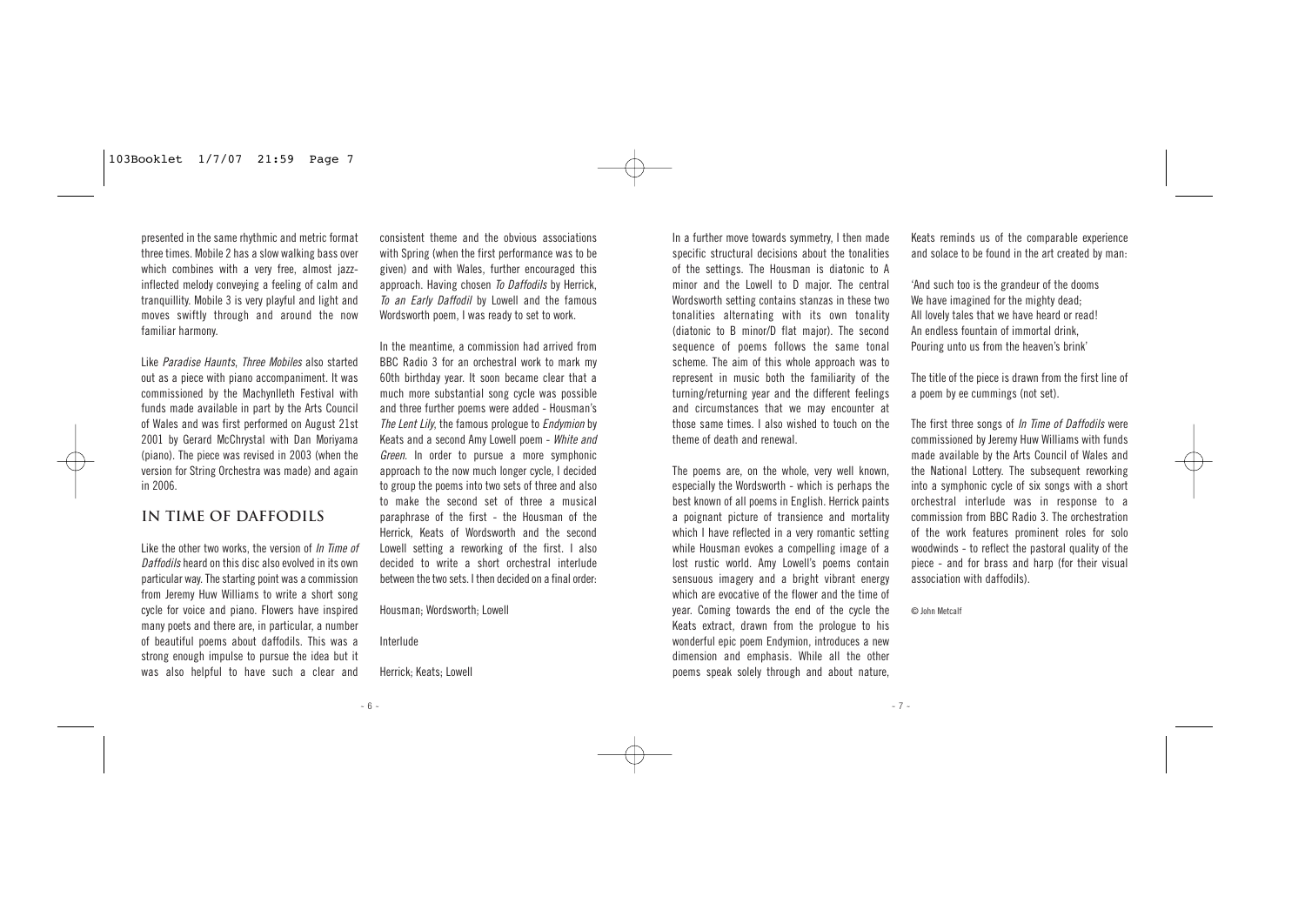presented in the same rhythmic and metric format three times. Mobile 2 has a slow walking bass over which combines with a very free, almost jazzinflected melody conveying a feeling of calm and tranquillity. Mobile 3 is very playful and light and moves swiftly through and around the now familiar harmony.

Like Paradise Haunts, Three Mobiles also started out as a piece with piano accompaniment. It was commissioned by the Machynlleth Festival with funds made available in part by the Arts Council of Wales and was first performed on August 21st 2001 by Gerard McChrystal with Dan Moriyama (piano). The piece was revised in 2003 (when the version for String Orchestra was made) and again in 2006.

# **IN TIME OF DAFFODILS**

Like the other two works, the version of In Time of Daffodils heard on this disc also evolved in its own particular way. The starting point was a commission from Jeremy Huw Williams to write a short song cycle for voice and piano. Flowers have inspired many poets and there are, in particular, a number of beautiful poems about daffodils. This was a strong enough impulse to pursue the idea but it was also helpful to have such a clear and

consistent theme and the obvious associations with Spring (when the first performance was to be given) and with Wales, further encouraged this approach. Having chosen To Daffodils by Herrick. To an Early Daffodil by Lowell and the famous Wordsworth poem, I was ready to set to work.

In the meantime, a commission had arrived from BBC Radio 3 for an orchestral work to mark my 60th birthday year. It soon became clear that a much more substantial song cycle was possible and three further poems were added - Housman's The Lent Lily, the famous prologue to Endymion by Keats and a second Amy Lowell poem - White and Green. In order to pursue a more symphonic approach to the now much longer cycle, I decided to group the poems into two sets of three and also to make the second set of three a musical paraphrase of the first - the Housman of the Herrick, Keats of Wordsworth and the second Lowell setting a reworking of the first. I also decided to write a short orchestral interlude between the two sets. I then decided on a final order:

Housman; Wordsworth; Lowell

Interlude

 $-6 -$ 

Herrick; Keats; Lowell

In a further move towards symmetry, I then made specific structural decisions about the tonalities of the settings. The Housman is diatonic to A minor and the Lowell to D major. The central Wordsworth setting contains stanzas in these two tonalities alternating with its own tonality (diatonic to B minor/D flat major). The second sequence of poems follows the same tonal scheme. The aim of this whole approach was to represent in music both the familiarity of the turning/returning year and the different feelings and circumstances that we may encounter at those same times. I also wished to touch on the theme of death and renewal.

The poems are, on the whole, very well known, especially the Wordsworth - which is perhaps the best known of all poems in English. Herrick paints a poignant picture of transience and mortality which I have reflected in a very romantic setting while Housman evokes a compelling image of a lost rustic world. Amy Lowell's poems contain sensuous imagery and a bright vibrant energy which are evocative of the flower and the time of year. Coming towards the end of the cycle the Keats extract, drawn from the prologue to his wonderful epic poem Endymion, introduces a new dimension and emphasis. While all the other poems speak solely through and about nature,

Keats reminds us of the comparable experience and solace to be found in the art created by man:

'And such too is the grandeur of the dooms We have imagined for the mighty dead: All lovely tales that we have heard or read! An endless fountain of immortal drink, Pouring unto us from the heaven's brink'

The title of the piece is drawn from the first line of a poem by ee cummings (not set).

The first three songs of *In Time of Daffodils* were commissioned by Jeremy Huw Williams with funds made available by the Arts Council of Wales and the National Lottery. The subsequent reworking into a symphonic cycle of six songs with a short orchestral interlude was in response to a commission from BBC Radio 3. The orchestration of the work features prominent roles for solo woodwinds - to reflect the pastoral quality of the piece - and for brass and harp (for their visual association with daffodils).

© John Metcalf

 $- 7 -$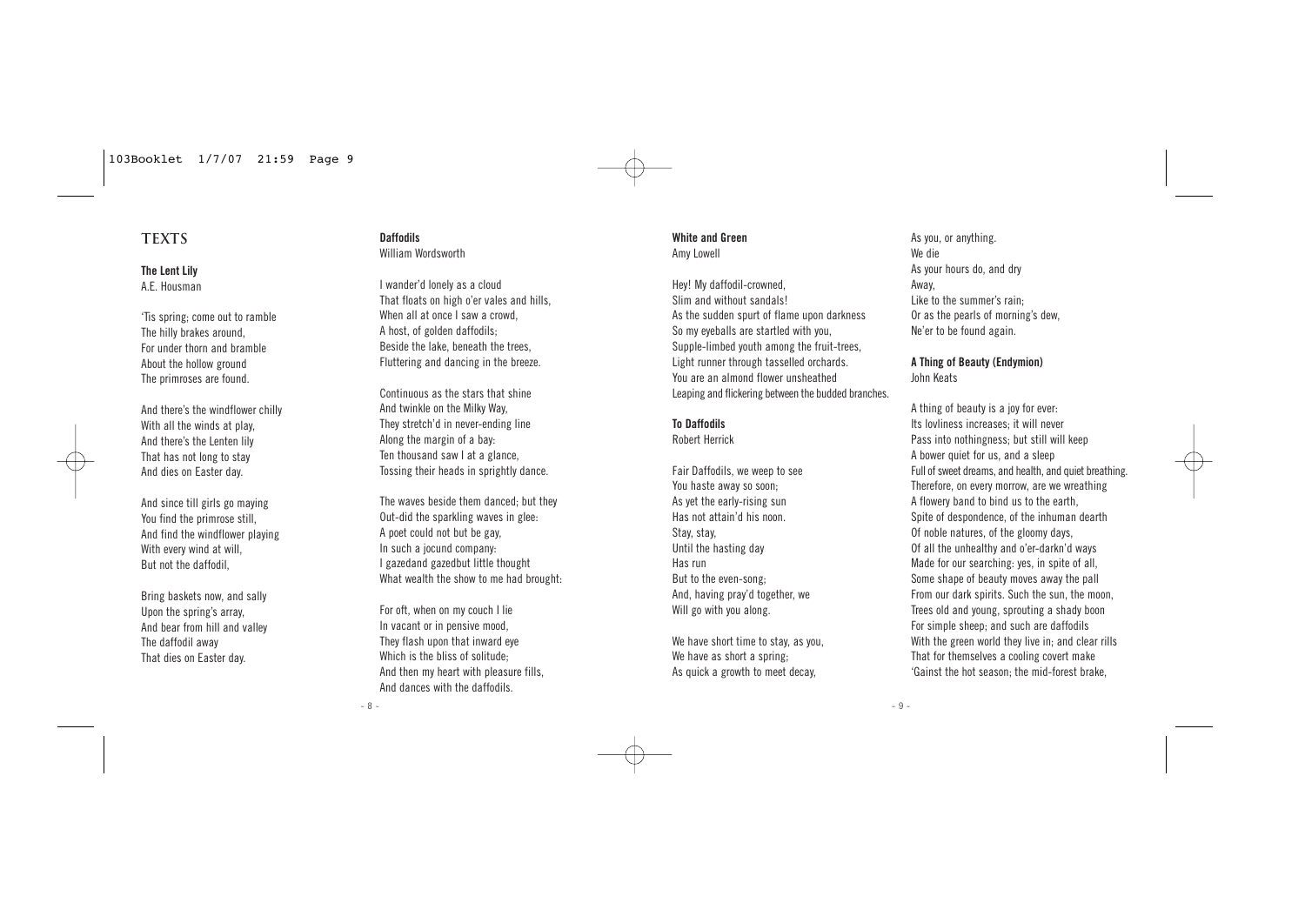## **TEXTS**

**The Lent Lily** A.E. Housman

'Tis spring; come out to ramble The hilly brakes around, For under thorn and bramble About the hollow ground The primroses are found.

And there's the windflower chilly With all the winds at play, And there's the Lenten lily That has not long to stay And dies on Easter day.

And since till girls go maying You find the primrose still, And find the windflower playing With every wind at will, But not the daffodil,

Bring baskets now, and sally Upon the spring's array, And bear from hill and valley The daffodil away That dies on Easter day.

#### **Daffodils** William Wordsworth

I wander'd lonely as a cloud That floats on high o'er vales and hills, When all at once I saw a crowd, A host, of golden daffodils; Beside the lake, beneath the trees, Fluttering and dancing in the breeze.

Continuous as the stars that shine And twinkle on the Milky Way, They stretch'd in never-ending line Along the margin of a bay: Ten thousand saw I at a glance, Tossing their heads in sprightly dance.

The waves beside them danced; but they Out-did the sparkling waves in glee: A poet could not but be gay, In such a jocund company: I gazedand gazedbut little thought What wealth the show to me had brought.

For oft, when on my couch I lie In vacant or in pensive mood, They flash upon that inward eye Which is the bliss of solitude; And then my heart with pleasure fills, And dances with the daffodils.

 $- 8 -$ 

#### **White and Green** Amy Lowell

Hey! My daffodil-crowned, Slim and without sandals! As the sudden spurt of flame upon darkness So my eyeballs are startled with you, Supple-limbed youth among the fruit-trees, Light runner through tasselled orchards. You are an almond flower unsheathed Leaping and flickering between the budded branches.

#### **To Daffodils**

Robert Herrick

Fair Daffodils, we weep to see You haste away so soon; As yet the early-rising sun Has not attain'd his noon. Stay, stay, Until the hasting day Has run But to the even-song; And, having pray'd together, we Will go with you along.

We have short time to stay, as you, We have as short a spring: As quick a growth to meet decay,

As you, or anything. We die As your hours do, and dry Away, Like to the summer's rain; Or as the pearls of morning's dew, Ne'er to be found again.

#### **A Thing of Beauty (Endymion)** John Keats

A thing of beauty is a joy for ever: Its lovliness increases; it will never Pass into nothingness; but still will keep A bower quiet for us, and a sleep Full of sweet dreams, and health, and quiet breathing. Therefore, on every morrow, are we wreathing A flowery band to bind us to the earth, Spite of despondence, of the inhuman dearth Of noble natures, of the gloomy days, Of all the unhealthy and o'er-darkn'd ways Made for our searching: yes, in spite of all, Some shape of beauty moves away the pall From our dark spirits. Such the sun, the moon, Trees old and young, sprouting a shady boon For simple sheep; and such are daffodils With the green world they live in; and clear rills That for themselves a cooling covert make 'Gainst the hot season; the mid-forest brake,

 $-9 -$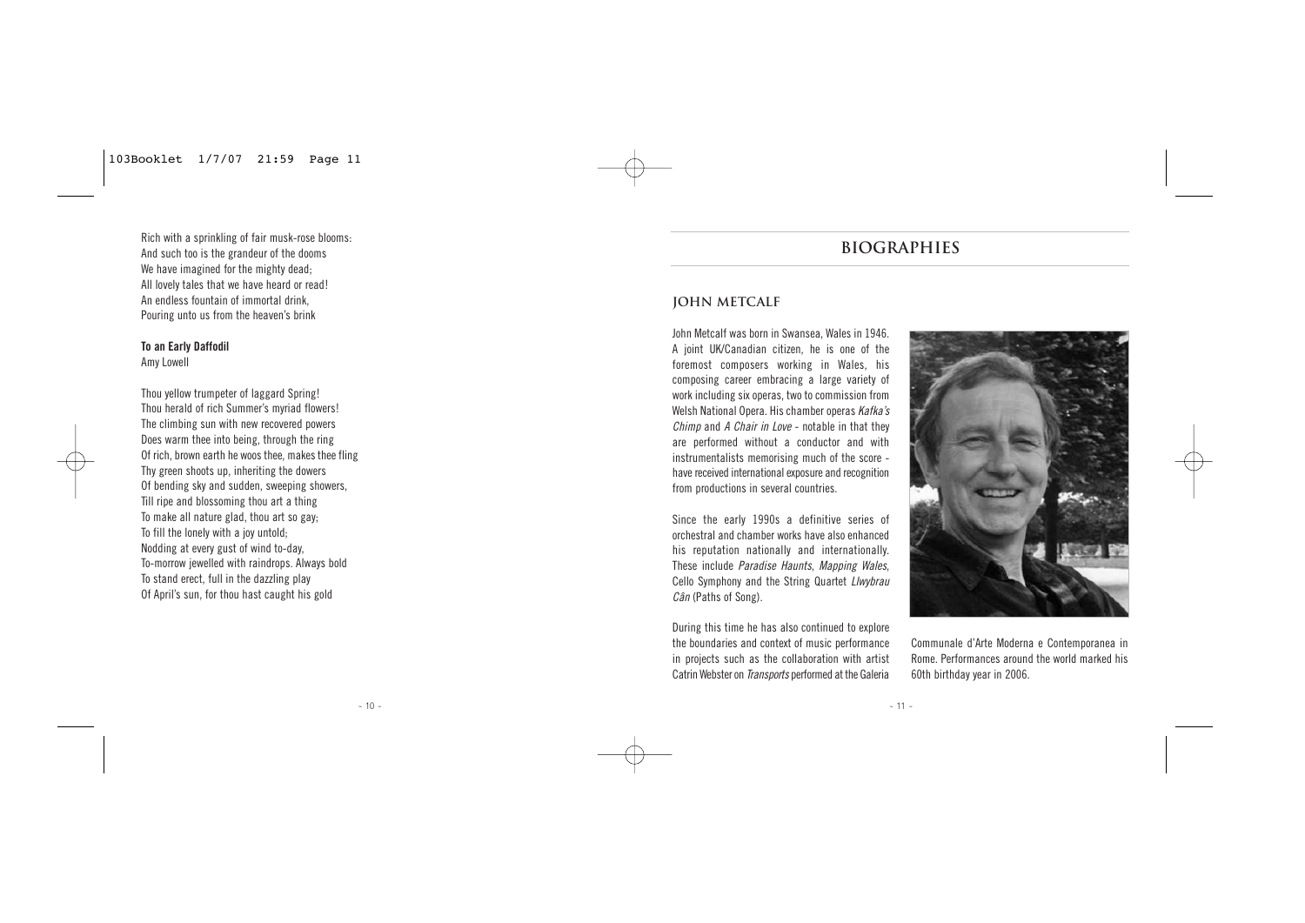Rich with a sprinkling of fair musk-rose blooms: And such too is the grandeur of the dooms We have imagined for the mighty dead; All lovely tales that we have heard or read! An endless fountain of immortal drink, Pouring unto us from the heaven's brink

## **To an Early Daffodil**

Amy Lowell

Thou yellow trumpeter of laggard Spring! Thou herald of rich Summer's myriad flowers! The climbing sun with new recovered powers Does warm thee into being, through the ring Of rich, brown earth he woos thee, makes thee fling Thy green shoots up, inheriting the dowers Of bending sky and sudden, sweeping showers, Till ripe and blossoming thou art a thing To make all nature glad, thou art so gay; To fill the lonely with a joy untold; Nodding at every gust of wind to-day, To-morrow jewelled with raindrops. Always bold To stand erect, full in the dazzling play Of April's sun, for thou hast caught his gold

# **BIOGRAPHies**

# **John Metcalf**

John Metcalf was born in Swansea, Wales in 1946. A joint UK/Canadian citizen, he is one of the foremost composers working in Wales, his composing career embracing a large variety of work including six operas, two to commission from Welsh National Opera. His chamber operas Kafka's Chimp and A Chair in Love - notable in that they are performed without a conductor and with instrumentalists memorising much of the score have received international exposure and recognition from productions in several countries.

Since the early 1990s a definitive series of orchestral and chamber works have also enhanced his reputation nationally and internationally. These include Paradise Haunts, Mapping Wales, Cello Symphony and the String Quartet Llwybrau Cân (Paths of Song).

During this time he has also continued to explore the boundaries and context of music performance in projects such as the collaboration with artist Catrin Webster on Transports performed at the Galeria



Communale d'Arte Moderna e Contemporanea in Rome. Performances around the world marked his 60th birthday year in 2006.

 $- 10 -$ 

 $- 11 -$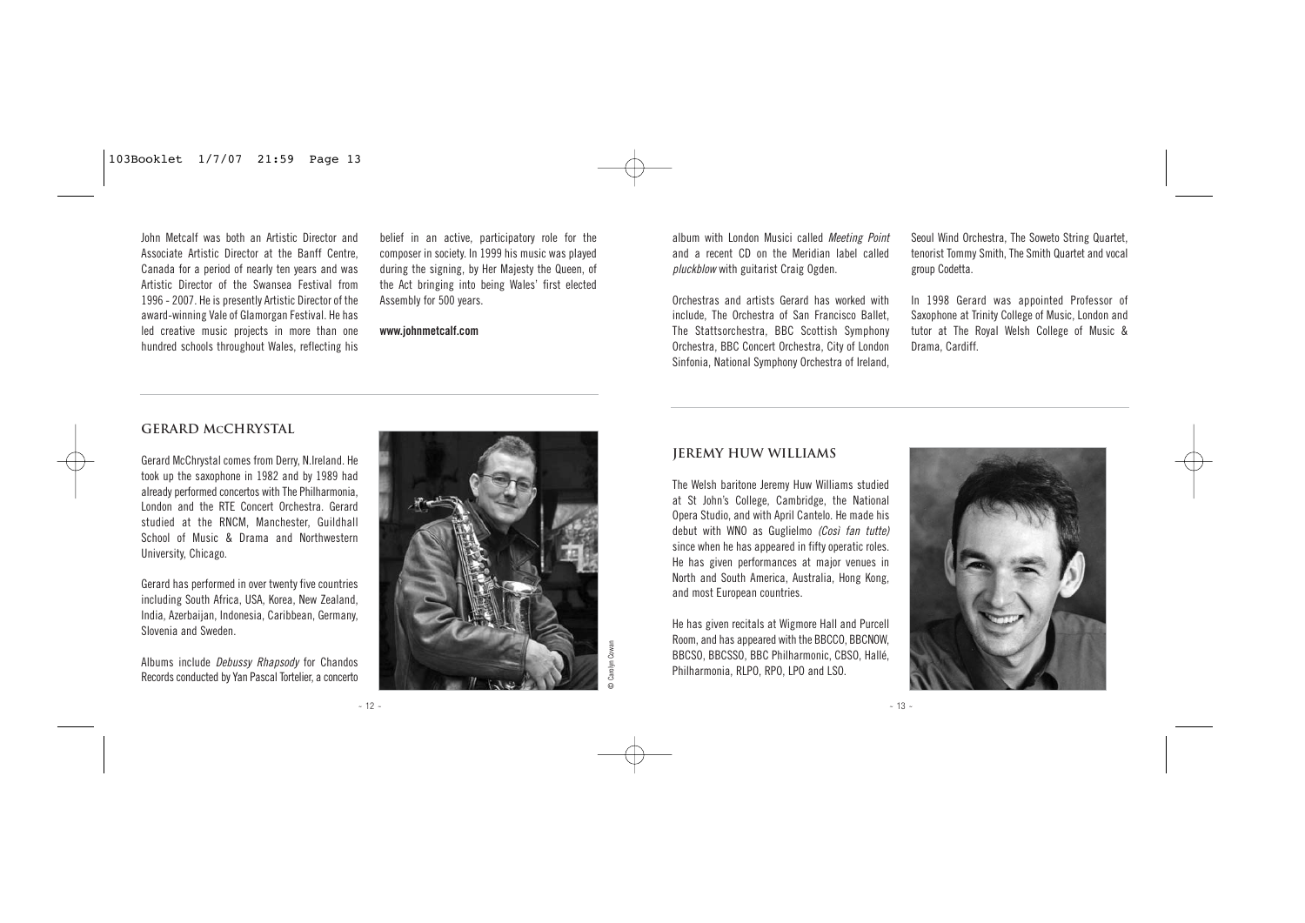John Metcalf was both an Artistic Director and Associate Artistic Director at the Banff Centre, Canada for a period of nearly ten years and was Artistic Director of the Swansea Festival from 1996 - 2007. He is presently Artistic Director of the award-winning Vale of Glamorgan Festival. He has led creative music projects in more than one hundred schools throughout Wales, reflecting his

belief in an active, participatory role for the composer in society. In 1999 his music was played during the signing, by Her Majesty the Queen, of the Act bringing into being Wales' first elected Assembly for 500 years.

**www.johnmetcalf.com**

album with London Musici called Meeting Point and a recent CD on the Meridian label called pluckblow with guitarist Craig Ogden.

Orchestras and artists Gerard has worked with include, The Orchestra of San Francisco Ballet, The Stattsorchestra, BBC Scottish Symphony Orchestra, BBC Concert Orchestra, City of London Sinfonia, National Symphony Orchestra of Ireland,

Seoul Wind Orchestra, The Soweto String Quartet, tenorist Tommy Smith, The Smith Quartet and vocal group Codetta.

In 1998 Gerard was appointed Professor of Saxophone at Trinity College of Music, London and tutor at The Royal Welsh College of Music & Drama, Cardiff.

#### **Gerard MCChrystal**

Gerard McChrystal comes from Derry, N.Ireland. He took up the saxophone in 1982 and by 1989 had already performed concertos with The Philharmonia, London and the RTE Concert Orchestra. Gerard studied at the RNCM, Manchester, Guildhall School of Music & Drama and Northwestern University, Chicago.

Gerard has performed in over twenty five countries including South Africa, USA, Korea, New Zealand, India, Azerbaijan, Indonesia, Caribbean, Germany, Slovenia and Sweden.

Albums include Debussy Rhapsody for Chandos Records conducted by Yan Pascal Tortelier, a concerto



#### **Jeremy Huw Williams**

The Welsh baritone Jeremy Huw Williams studied at St John's College, Cambridge, the National Opera Studio, and with April Cantelo. He made his debut with WNO as Guglielmo (Così fan tutte) since when he has appeared in fifty operatic roles. He has given performances at major venues in North and South America, Australia, Hong Kong, and most European countries.

He has given recitals at Wigmore Hall and Purcell Room, and has appeared with the BBCCO, BBCNOW, BBCSO, BBCSSO, BBC Philharmonic, CBSO, Hallé Philharmonia, RLPO, RPO, LPO and LSO.



 $- 13 -$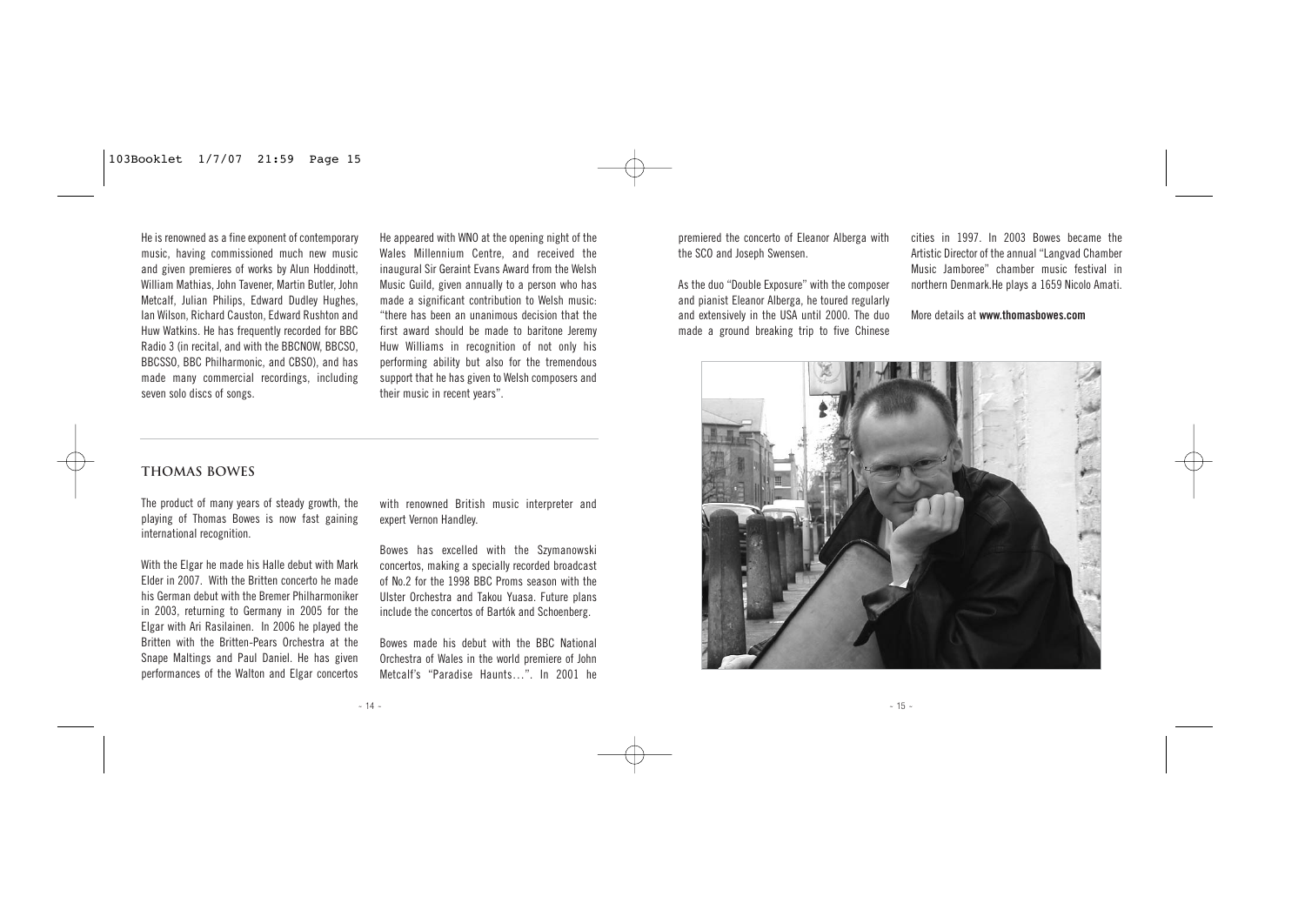He is renowned as a fine exponent of contemporary music, having commissioned much new music and given premieres of works by Alun Hoddinott, William Mathias, John Tavener, Martin Butler, John Metcalf, Julian Philips, Edward Dudley Hughes, Ian Wilson, Richard Causton, Edward Rushton and Huw Watkins. He has frequently recorded for BBC Radio 3 (in recital, and with the BBCNOW, BBCSO, BBCSSO, BBC Philharmonic, and CBSO), and has made many commercial recordings, including seven solo discs of songs.

He appeared with WNO at the opening night of the Wales Millennium Centre, and received the inaugural Sir Geraint Evans Award from the Welsh Music Guild, given annually to a person who has made a significant contribution to Welsh music: "there has been an unanimous decision that the first award should be made to baritone Jeremy Huw Williams in recognition of not only his performing ability but also for the tremendous support that he has given to Welsh composers and their music in recent years".

premiered the concerto of Eleanor Alberga with the SCO and Joseph Swensen.

As the duo "Double Exposure" with the composer and pianist Eleanor Alberga, he toured regularly and extensively in the USA until 2000. The duo made a ground breaking trip to five Chinese cities in 1997. In 2003 Bowes became the Artistic Director of the annual "Langvad Chamber Music Jamboree" chamber music festival in northern Denmark.He plays a 1659 Nicolo Amati.

More details at **www.thomasbowes.com**



# **Thomas Bowes**

The product of many years of steady growth, the playing of Thomas Bowes is now fast gaining international recognition.

With the Elgar he made his Halle debut with Mark Elder in 2007. With the Britten concerto he made his German debut with the Bremer Philharmoniker in 2003, returning to Germany in 2005 for the Elgar with Ari Rasilainen. In 2006 he played the Britten with the Britten-Pears Orchestra at the Snape Maltings and Paul Daniel. He has given performances of the Walton and Elgar concertos with renowned British music interpreter and expert Vernon Handley.

Bowes has excelled with the Szymanowski concertos, making a specially recorded broadcast of No.2 for the 1998 BBC Proms season with the Ulster Orchestra and Takou Yuasa. Future plans include the concertos of Bartók and Schoenberg.

Bowes made his debut with the BBC National Orchestra of Wales in the world premiere of John Metcalf's "Paradise Haunts…". In 2001 he

 $- 14 -$ 

 $- 15 -$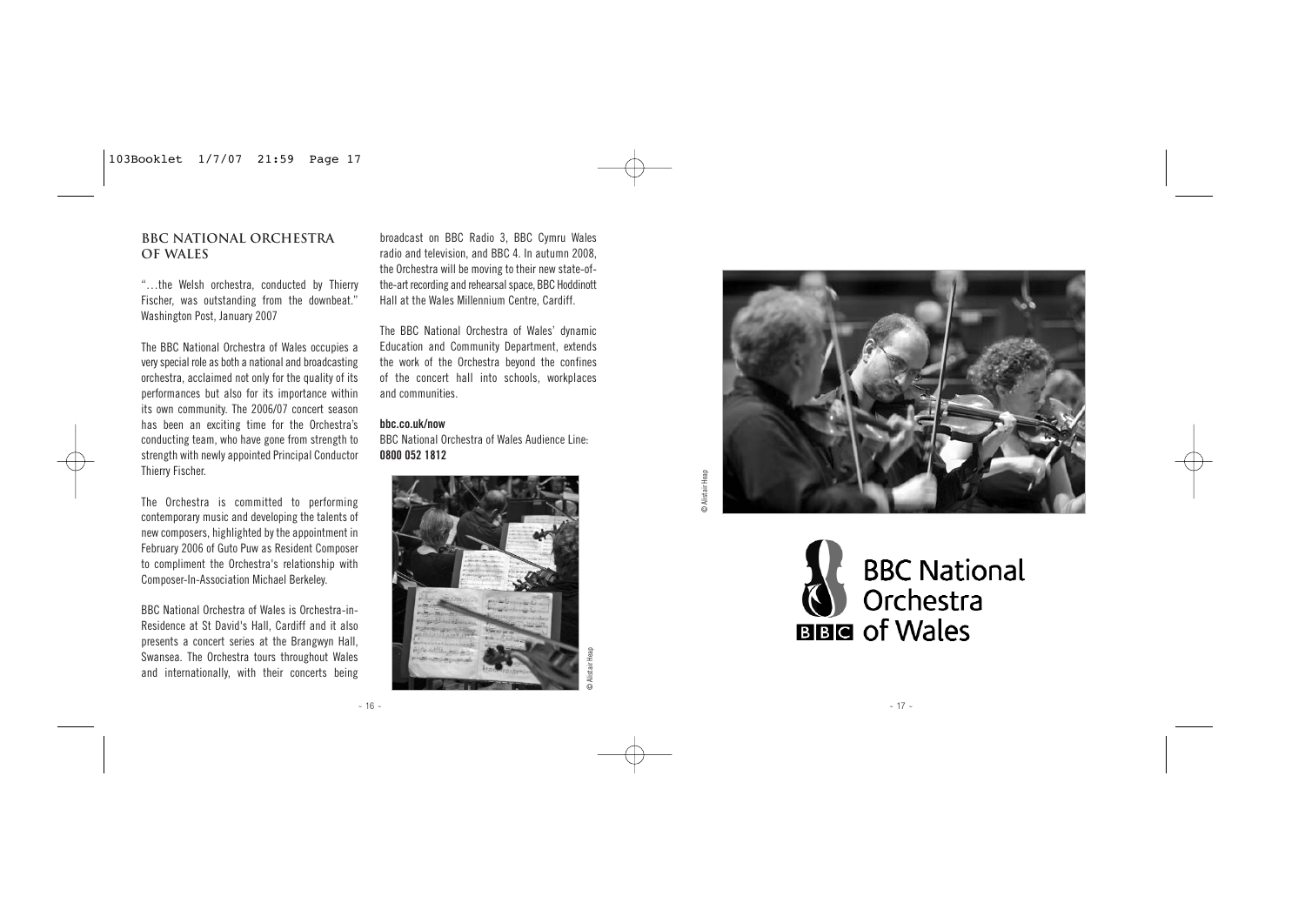#### **BBC National Orchestra of Wales**

"…the Welsh orchestra, conducted by Thierry Fischer, was outstanding from the downbeat." Washington Post, January 2007

The BBC National Orchestra of Wales occupies a very special role as both a national and broadcasting orchestra, acclaimed not only for the quality of its performances but also for its importance within its own community. The 2006/07 concert season has been an exciting time for the Orchestra's conducting team, who have gone from strength to strength with newly appointed Principal Conductor Thierry Fischer.

The Orchestra is committed to performing contemporary music and developing the talents of new composers, highlighted by the appointment in February 2006 of Guto Puw as Resident Composer to compliment the Orchestra's relationship with Composer-In-Association Michael Berkeley.

BBC National Orchestra of Wales is Orchestra-in-Residence at St David's Hall, Cardiff and it also presents a concert series at the Brangwyn Hall, Swansea. The Orchestra tours throughout Wales and internationally, with their concerts being

broadcast on BBC Radio 3, BBC Cymru Wales radio and television, and BBC 4. In autumn 2008, the Orchestra will be moving to their new state-ofthe-art recording and rehearsal space, BBC Hoddinott Hall at the Wales Millennium Centre, Cardiff.

The BBC National Orchestra of Wales' dynamic Education and Community Department, extends the work of the Orchestra beyond the confines of the concert hall into schools, workplaces and communities.

**bbc.co.uk/now**

BBC National Orchestra of Wales Audience Line: **0800 052 1812**





**BBC National** Orchestra **BBG** of Wales

 $- 17 -$